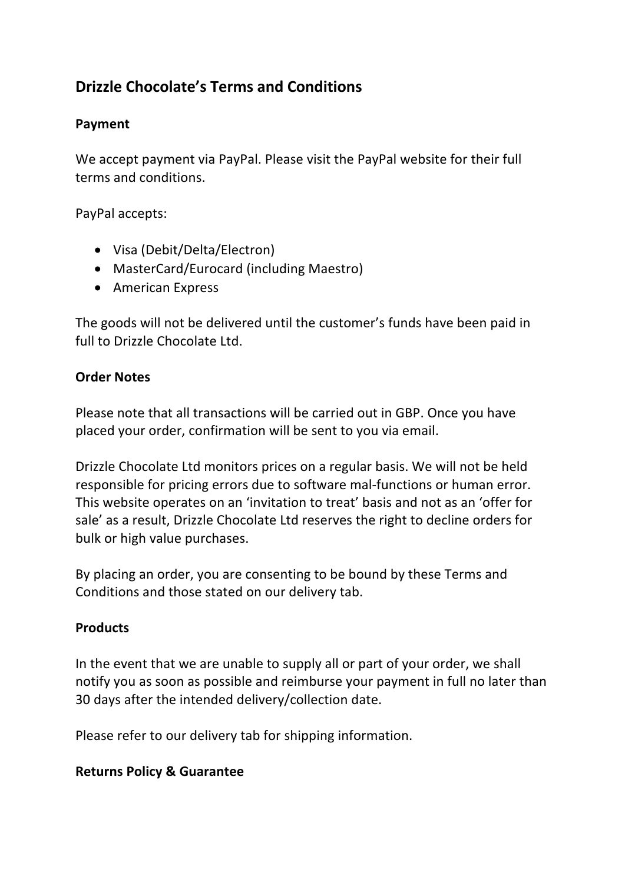# **Drizzle Chocolate's Terms and Conditions**

#### **Payment**

We accept payment via PayPal. Please visit the PayPal website for their full terms and conditions.

PayPal accepts:

- Visa (Debit/Delta/Electron)
- MasterCard/Eurocard (including Maestro)
- American Express

The goods will not be delivered until the customer's funds have been paid in full to Drizzle Chocolate Ltd.

#### **Order Notes**

Please note that all transactions will be carried out in GBP. Once you have placed your order, confirmation will be sent to you via email.

Drizzle Chocolate Ltd monitors prices on a regular basis. We will not be held responsible for pricing errors due to software mal-functions or human error. This website operates on an 'invitation to treat' basis and not as an 'offer for sale' as a result, Drizzle Chocolate Ltd reserves the right to decline orders for bulk or high value purchases.

By placing an order, you are consenting to be bound by these Terms and Conditions and those stated on our delivery tab.

#### **Products**

In the event that we are unable to supply all or part of your order, we shall notify you as soon as possible and reimburse your payment in full no later than 30 days after the intended delivery/collection date.

Please refer to our delivery tab for shipping information.

#### **Returns Policy & Guarantee**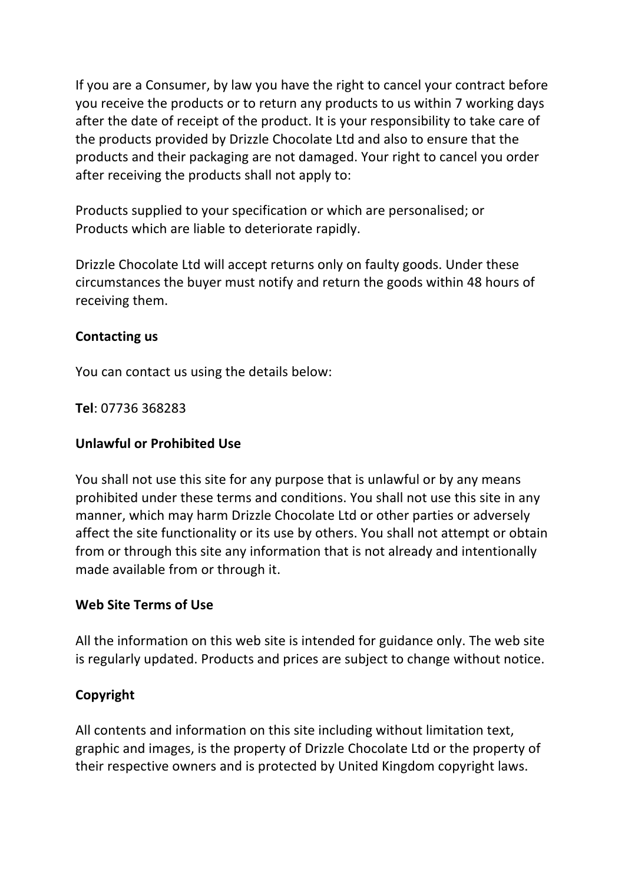If you are a Consumer, by law you have the right to cancel your contract before you receive the products or to return any products to us within 7 working days after the date of receipt of the product. It is your responsibility to take care of the products provided by Drizzle Chocolate Ltd and also to ensure that the products and their packaging are not damaged. Your right to cancel you order after receiving the products shall not apply to:

Products supplied to your specification or which are personalised; or Products which are liable to deteriorate rapidly.

Drizzle Chocolate Ltd will accept returns only on faulty goods. Under these circumstances the buyer must notify and return the goods within 48 hours of receiving them.

#### **Contacting us**

You can contact us using the details below:

**Tel**: 07736 368283

### **Unlawful or Prohibited Use**

You shall not use this site for any purpose that is unlawful or by any means prohibited under these terms and conditions. You shall not use this site in any manner, which may harm Drizzle Chocolate Ltd or other parties or adversely affect the site functionality or its use by others. You shall not attempt or obtain from or through this site any information that is not already and intentionally made available from or through it.

### **Web Site Terms of Use**

All the information on this web site is intended for guidance only. The web site is regularly updated. Products and prices are subject to change without notice.

## **Copyright**

All contents and information on this site including without limitation text, graphic and images, is the property of Drizzle Chocolate Ltd or the property of their respective owners and is protected by United Kingdom copyright laws.